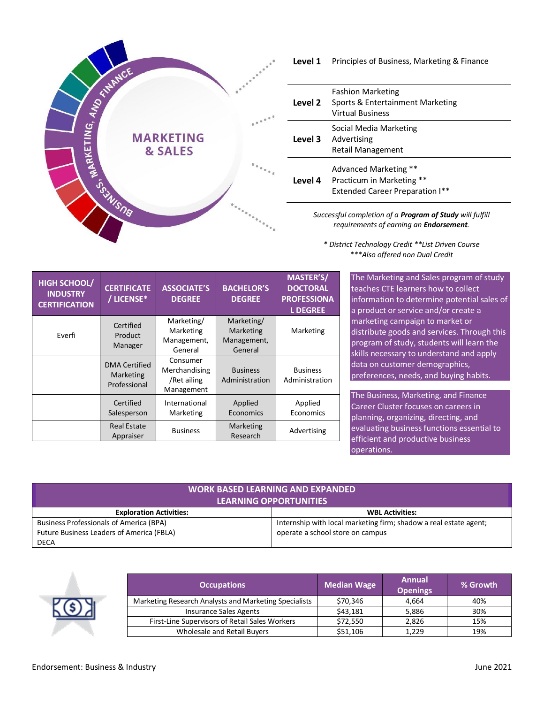

## **Level 1** Principles of Business, Marketing & Finance

| Level 2 | <b>Fashion Marketing</b><br>Sports & Entertainment Marketing<br><b>Virtual Business</b>      |
|---------|----------------------------------------------------------------------------------------------|
|         | Social Media Marketing<br><b>Level 3</b> Advertising<br><b>Retail Management</b>             |
| Level 4 | Advanced Marketing **<br>Practicum in Marketing **<br><b>Extended Career Preparation I**</b> |

*Successful completion of a Program of Study will fulfill requirements of earning an Endorsement.*

*\* District Technology Credit \*\*List Driven Course \*\*\*Also offered non Dual Credit*

| <b>HIGH SCHOOL/</b><br><b>INDUSTRY</b><br><b>CERTIFICATION</b> | <b>CERTIFICATE</b><br>/ LICENSE*                  | <b>ASSOCIATE'S</b><br><b>DEGREE</b>                    | <b>BACHELOR'S</b><br><b>DEGREE</b>                | <b>MASTER'S/</b><br><b>DOCTORAL</b><br><b>PROFESSIONA</b><br><b>LDEGREE</b> |
|----------------------------------------------------------------|---------------------------------------------------|--------------------------------------------------------|---------------------------------------------------|-----------------------------------------------------------------------------|
| Everfi                                                         | Certified<br>Product<br>Manager                   | Marketing/<br>Marketing<br>Management,<br>General      | Marketing/<br>Marketing<br>Management,<br>General | Marketing                                                                   |
|                                                                | <b>DMA Certified</b><br>Marketing<br>Professional | Consumer<br>Merchandising<br>/Ret ailing<br>Management | <b>Business</b><br>Administration                 | <b>Business</b><br>Administration                                           |
|                                                                | Certified<br>Salesperson                          | International<br>Marketing                             | Applied<br>Economics                              | Applied<br>Economics                                                        |
|                                                                | <b>Real Estate</b><br>Appraiser                   | <b>Business</b>                                        | Marketing<br>Research                             | Advertising                                                                 |

The Marketing and Sales program of study teaches CTE learners how to collect information to determine potential sales of a product or service and/or create a marketing campaign to market or distribute goods and services. Through this program of study, students will learn the skills necessary to understand and apply data on customer demographics, preferences, needs, and buying habits.

The Business, Marketing, and Finance Career Cluster focuses on careers in planning, organizing, directing, and evaluating business functions essential to efficient and productive business operations.

| <b>WORK BASED LEARNING AND EXPANDED</b><br><b>LEARNING OPPORTUNITIES</b> |                                                                   |  |  |  |
|--------------------------------------------------------------------------|-------------------------------------------------------------------|--|--|--|
| <b>Exploration Activities:</b>                                           | <b>WBL Activities:</b>                                            |  |  |  |
| <b>Business Professionals of America (BPA)</b>                           | Internship with local marketing firm; shadow a real estate agent; |  |  |  |
| Future Business Leaders of America (FBLA)                                | operate a school store on campus                                  |  |  |  |
| <b>DECA</b>                                                              |                                                                   |  |  |  |



| <b>Occupations</b>                                    | <b>Median Wage</b> | Annual<br><b>Openings</b> | % Growth |
|-------------------------------------------------------|--------------------|---------------------------|----------|
| Marketing Research Analysts and Marketing Specialists | \$70,346           | 4.664                     | 40%      |
| <b>Insurance Sales Agents</b>                         | \$43,181           | 5,886                     | 30%      |
| First-Line Supervisors of Retail Sales Workers        | \$72,550           | 2,826                     | 15%      |
| Wholesale and Retail Buyers                           | \$51,106           | 1.229                     | 19%      |